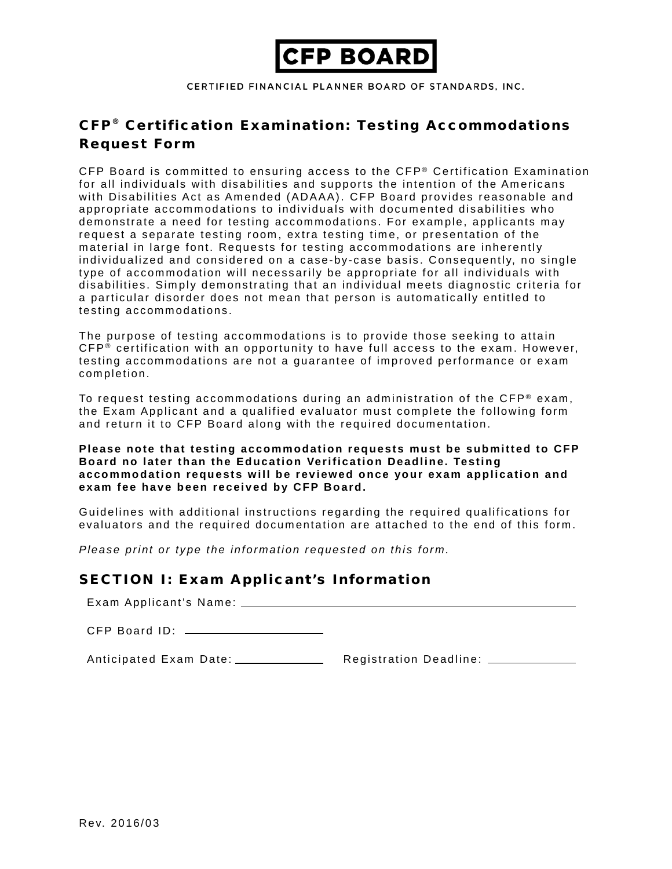

CERTIFIED FINANCIAL PLANNER BOARD OF STANDARDS, INC.

# CFP<sup>®</sup> Certification Examination: Testing Accommodations Request Form

CFP Board is committed to ensuring access to the CFP® Certification Examination for all individuals with disabilities and supports the intention of the Americans with Disabilities Act as Amended (ADAAA). CFP Board provides reasonable and appropriate accommodations to individuals with documented disabilities who demonstrate a need for testing accommodations. For example, applicants may request a separate testing room, extra testing time, or presentation of the material in large font. Requests for testing accommodations are inherently individualized and considered on a case-by-case basis. Consequently, no single type of accommodation will necessarily be appropriate for all individuals with disabilities. Simply demonstrating that an individual meets diagnostic criteria for a particular disorder does not mean that person is automatically entitled to testing accommodations.

The purpose of testing accommodations is to provide those seeking to attain CFP ® certification with an opportunity to have full access to the exam. However, testing accommodations are not a guarantee of improved performance or exam completion.

To request testing accommodations during an administration of the  $\text{CFP}^{\circledast}$  exam, the Exam Applicant and a qualified evaluator must complete the following form and return it to CFP Board along with the required documentation.

#### **Please note that testing accommodation requests must be submitted to CFP Board no later than the Education Verification Deadline. Testing accommodation requests will be reviewed once your exam application and exam fee have been received by CFP Board.**

Guidelines with additional instructions regarding the required qualifications for evaluators and the required documentation are attached to the end of this form.

*Please print or type the information requested on this form.*

### SECTION I: Exam Applicant's Information

Exam Applicant's Name:

CFP Board ID:

Anticipated Exam Date: Registration Deadline: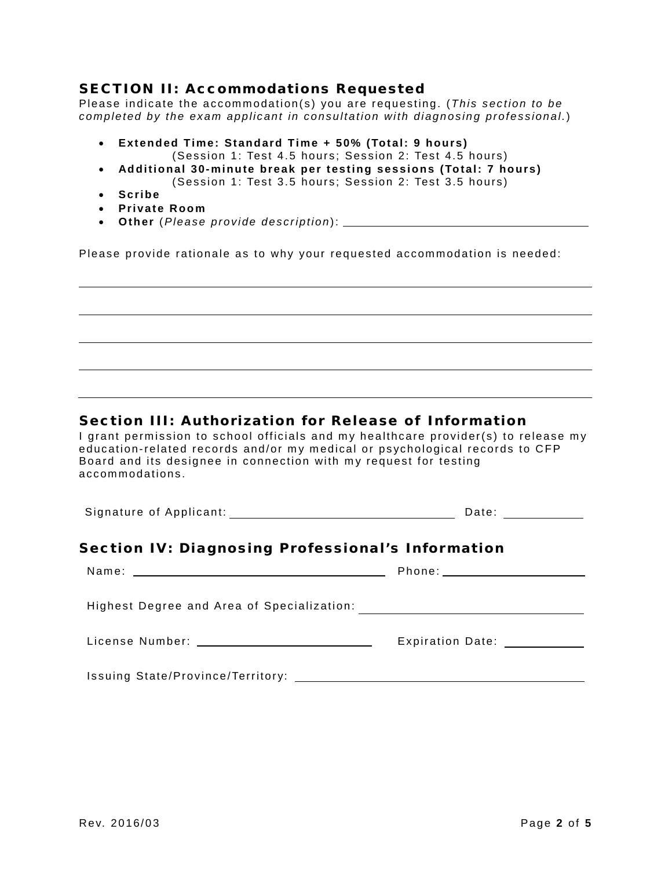### SECTION II: Accommodations Requested

Please indicate the accommodation(s) you are requesting. (*This section to be completed by the exam applicant in consultation with diagnosing professional.*)

- **Extended Time: Standard Time + 50% (Total: 9 hours)**
- (Session 1: Test 4.5 hours; Session 2: Test 4.5 hours) • **Additional 30-minute break per testing sessions (Total: 7 hours)**
	- (Session 1: Test 3.5 hours; Session 2: Test 3.5 hours)
- **Scribe**
- **Private Room**
- **Other** (*Please provide description*):

Please provide rationale as to why your requested accommodation is needed:

### Section III: Authorization for Release of Information

I grant permission to school officials and my healthcare provider(s) to release my education-related records and/or my medical or psychological records to CFP Board and its designee in connection with my request for testing accommodations.

| Signature of Applicant: | Date: |  |
|-------------------------|-------|--|
|                         |       |  |

## Section IV: Diagnosing Professional's Information

|                                              | Phone: _______________________ |
|----------------------------------------------|--------------------------------|
|                                              |                                |
| License Number: ____________________________ | Expiration Date: ___________   |
|                                              |                                |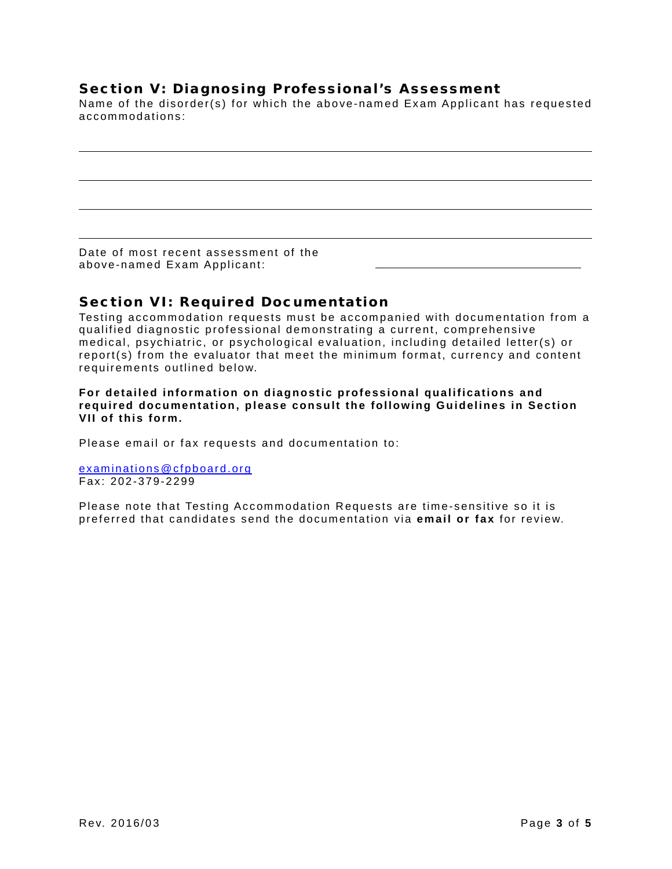## Section V: Diagnosing Professional's Assessment

Name of the disorder(s) for which the above-named Exam Applicant has requested accommodations:

Date of most recent assessment of the above-named Exam Applicant:

## Section VI: Required Documentation

Testing accommodation requests must be accompanied with documentation from a qualified diagnostic professional demonstrating a current, comprehensive medical, psychiatric, or psychological evaluation, including detailed letter(s) or report(s) from the evaluator that meet the minimum format, currency and content requirements outlined below.

**For detailed information on diagnostic professional qualifications and required documentation, please consult the following Guidelines in Section VII of this form.**

Please email or fax requests and documentation to:

[examinations@cfpboard.org](mailto:examinations@cfpboard.org) Fax: 202-379-2299

Please note that Testing Accommodation Requests are time-sensitive so it is preferred that candidates send the documentation via **email or fax** for review.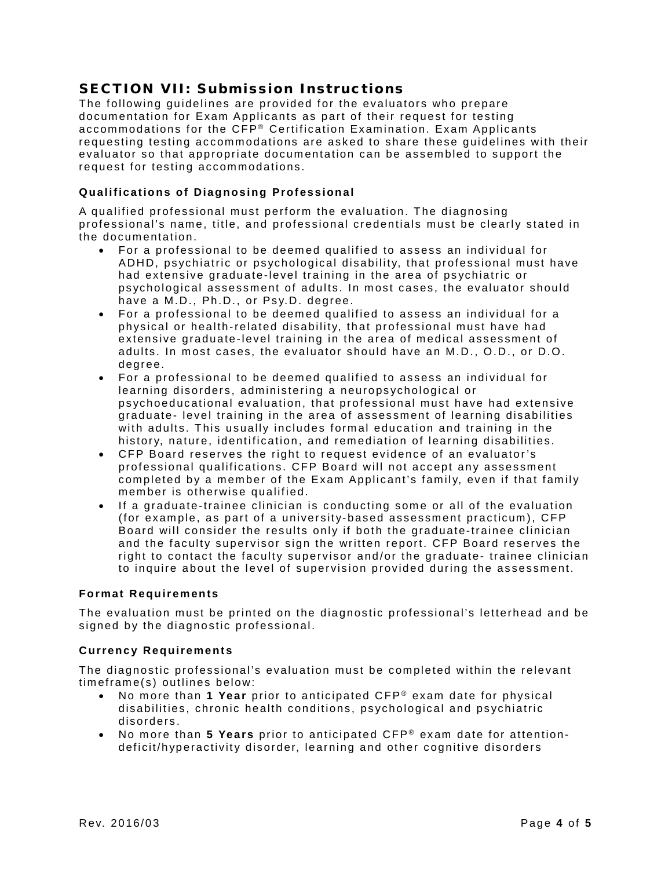## SECTION VII: Submission Instructions

The following guidelines are provided for the evaluators who prepare documentation for Exam Applicants as part of their request for testing accommodations for the CFP® Certification Examination. Exam Applicants requesting testing accommodations are asked to share these guidelines with their evaluator so that appropriate documentation can be assembled to support the request for testing accommodations.

### **Qualifications of Diagnosing Professional**

A qualified professional must perform the evaluation. The diagnosing professional's name, title, and professional credentials must be clearly stated in the documentation.

- For a professional to be deemed qualified to assess an individual for ADHD, psychiatric or psychological disability, that professional must have had extensive graduate-level training in the area of psychiatric or psychological assessment of adults. In most cases, the evaluator should have a M.D., Ph.D., or Psy.D. degree.
- For a professional to be deemed qualified to assess an individual for a physical or health-related disability, that professional must have had extensive graduate-level training in the area of medical assessment of adults. In most cases, the evaluator should have an M.D., O.D., or D.O. degree.
- For a professional to be deemed qualified to assess an individual for learning disorders, administering a neuropsychological or psychoeducational evaluation, that professional must have had extensive graduate- level training in the area of assessment of learning disabilities with adults. This usually includes formal education and training in the history, nature, identification, and remediation of learning disabilities.
- CFP Board reserves the right to request evidence of an evaluator's professional qualifications. CFP Board will not accept any assessment completed by a member of the Exam Applicant's family, even if that family member is otherwise qualified.
- If a graduate-trainee clinician is conducting some or all of the evaluation (for example, as part of a university-based assessment practicum), CFP Board will consider the results only if both the graduate-trainee clinician and the faculty supervisor sign the written report. CFP Board reserves the right to contact the faculty supervisor and/or the graduate- trainee clinician to inquire about the level of supervision provided during the assessment.

### **Format Requirements**

The evaluation must be printed on the diagnostic professional's letterhead and be signed by the diagnostic professional.

### **Currency Requirements**

The diagnostic professional's evaluation must be completed within the relevant timeframe(s) outlines below:

- No more than 1 Year prior to anticipated CFP<sup>®</sup> exam date for physical disabilities, chronic health conditions, psychological and psychiatric disorders.
- No more than **5 Years** prior to anticipated CFP ® exam date for attentiondeficit/hyperactivity disorder, learning and other cognitive disorders